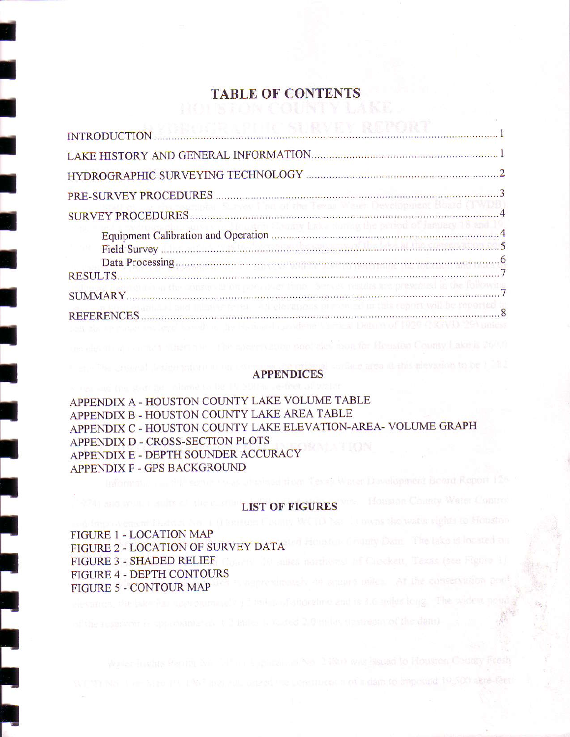## TABLE OF CONTENTS

| miphs Survey I're of the Texas Wast Development Board (TWD        |
|-------------------------------------------------------------------|
| lusion Eramy lither harms the proton of Jamasy 18 and 1           |
|                                                                   |
|                                                                   |
|                                                                   |
| onservation not war hind. Serves reades me presented a the follow |
| delay articles purchased at this copper way be for orien          |
|                                                                   |

#### APPENDICES

comm postales mon for Housian County Lakels 2000

Hom Texas Water Downlopment Board Report 125

APPENDIX A - HOUSTON COUNTY LAKE VOLUME TABLE APPENDIX B - HOUSTON COUNTY LAKE AREA TABLE APPENDIX C - HOUSTON COUNTY LAKE ELEVATION-AREA- VOLUME GRAPH APPENDIX D - CROSS-SECTION PLOTS APPENDIX E - DEPTH SOUNDER ACCURACY APPENDIX F - GPS BACKGROUND

#### LIST OF FIGURES

FIGURE I - LOCATION MAP FIGURE 2 - LOCATION OF SURVEY DATA FIGURE 3 - SHADED RELIEF FIGURE 4 - DEPTH CONTOURS FIGURE 5 - CONTOUR MAP

I

I

I

t

T

I

I

I

T

I

I

I

I

I

I

I

I

I

I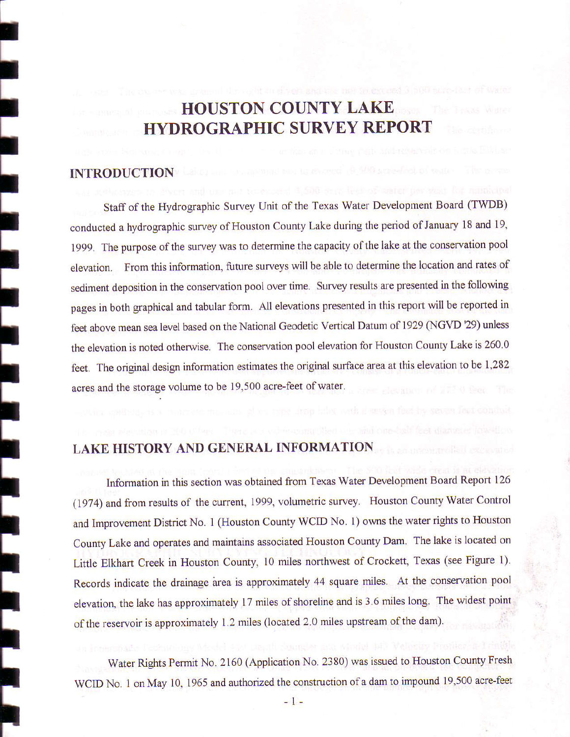# HOUSTON COUNTY LAKE HYDROGRAPHIC SURVEY REPORT

#### **INTRODUCTION**

I

t

I

I

t

I

I

I

I

I

I

I

I

t<br>t

l<br>..

l<br>.

l<br>.

l<br>L

T

Staff of the Hydrographic Survey Unit of the Texas Water Development Board (TWDB) conducted a hydrographic survey of Houston County Lake during the period of January 18 and 19, 1999. The purpose of the survey was to determine the capacity of the lake at the conservation pool elevation. From this information, future surveys will be able to determine the location and rates of sediment deposition in the conservation pool over time. Survey results are presented in the following pages in both graphical and tabular form. All elevations presented in this report will be reported in feet above mean sea level based on the National Geodetic Vertical Datum of 1929 (NGVD '29) unless the elevation is noted otherwise. The conservation pool elevation for Houston County Lake is 260.0 feet. The original design information estimates the original surface area at this elevation to be 1,282 acres and the storage volume to be 19,500 acre-feet of water.

## LAKE HISTORY AND GENERAL INFORMATION

Information in this section was obtained from Texas Water Development Board Report 126 (1974) and from results of the current, 1999, volumetric survey. Houston County Water Control and lmprovement District No. I (Houston County WCID No. l) owns the water rights to Houston County Lake and operates and maintains associated Houston County Dam. The lake is located on Little Elkhart Creek in Houston County, 10 miles northwest of Crockett, Texas (see Figure 1). Records indicate the drainage area is approximately 44 square miles. At the conservation pool elevation, the lake has approximately 17 miles of shoreline and is 3.6 miles long. The widest point of the reservoir is approximately 1.2 miles (located 2.0 miles upstream of the dam).

Water Rights Permit No. 2160 (Application No. 2380) was issued to Houston County Fresh WCID No. 1 on May 10, 1965 and authorized the construction of a dam to impound 19,500 acre-feet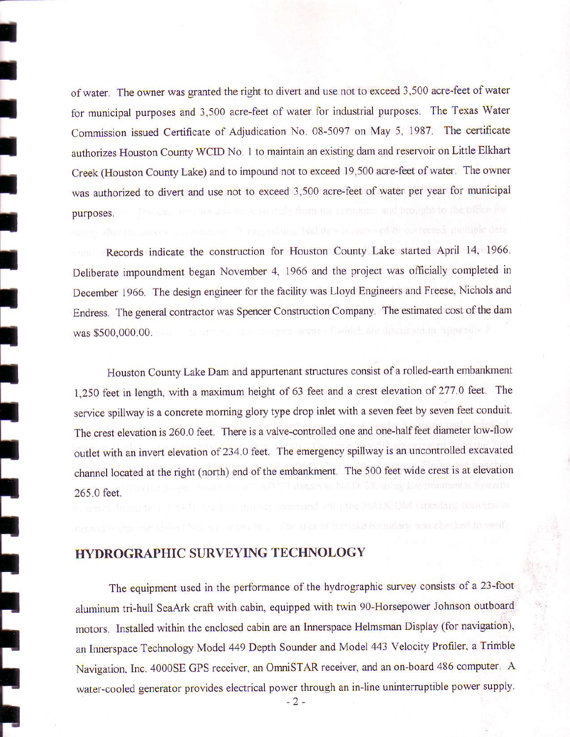of water. The owner was granted the right to divert and use not to exceed 3,500 acre-feet of water for municipal purposes and 3.500 acre-feet of water for industrial purposes. The Texas Water Commission issued Certificate of Adjudication No. 08-5097 on May 5, 1987. The certificate authorizes Houston County WCID No. I to maintain an existing dam and reservoir on Little Elkhart Creek (Houston County Lake) and to impound not to exceed 19,500 acre-feet of water. The owner was authorized to divert and use not to exceed 3,500 acre-feet of water per year for municipal purposes.

I

I

I

t

I

t

I

t

I

I

I

t

t

I

I

t

t

trI

Records indicate the construction for Houston County Lake started April 14, 1966. Deliberate impoundment began November 4. 1966 and the project was officially completed in December 1966. The design engineer for the facility was Lloyd Engineers and Freese. Nichols and Endress. The general contractor was Spencer Construction Company. The estimated cost of the dam was \$500,000.00.

Houston County Lake Dam and appurtenant structures consist of a rolled-earth embankment 1,250 feet in length, with a maximum height of 63 feet and a crest elevation of 277.0 feet. The service spillway is a concrete morning glory type drop inlet with a seven feet by seven feet conduit. The crest elevation is 260.0 feet. There is a valve-controlled one and one-half feet diameter low-flow outlet with an invert elevation of 234.0 feet. The emergency spillway is an uncontrolled excavated channel located at the right (north) end of the embankment. The 500 feet wide crest is at elevation 265.0 feet.

### ITYDROGRAPHIC SURVEYING TECHNOLOGY

The equipment used in the performance of the hydrographic survey consists of a 23-foot aluminum tri-hull SeaArk craft with cabin, equipped with twin 90-Horsepower Johnson outboard motors. Installed within the enclosed cabin are an Innerspace Helmsman Display (for navigation), an Innerspace Technology Model 449 Depth Sounder and Model 443 Velocity Profiler, a Trimble Navigation, Inc. 4000SE GPS receiver, an OmniSTAR receiver, and an on-board 486 computer. A water-cooled generator provides electrical power through an in-line uninterruptible power supply.

 $-2-$